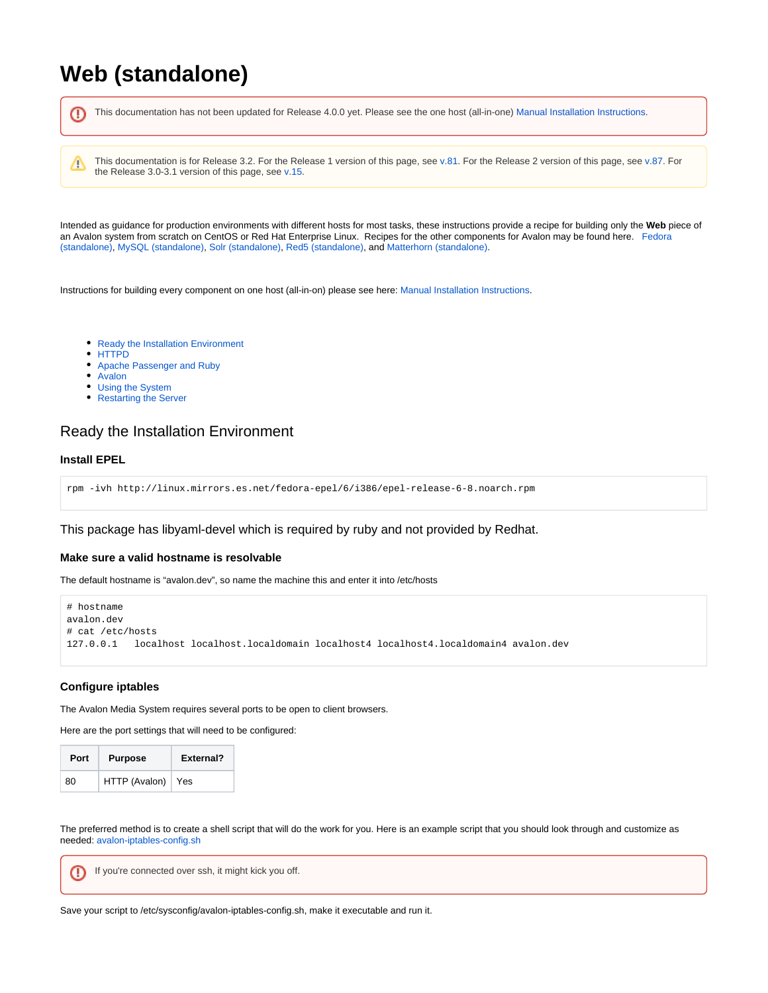# <span id="page-0-1"></span>**Web (standalone)**

This documentation has not been updated for Release 4.0.0 yet. Please see the one host (all-in-one) [Manual Installation Instructions.](https://wiki.dlib.indiana.edu/display/VarVideo/Manual+Installation+Instructions) ®

This documentation is for Release 3.2. For the Release 1 version of this page, see [v.81](https://wiki.dlib.indiana.edu/pages/viewpage.action?pageId=516164286). For the Release 2 version of this page, see [v.87.](https://wiki.dlib.indiana.edu/pages/viewpage.action?pageId=517669561) For the Release 3.0-3.1 version of this page, see [v.15.](#page-0-1)

Intended as guidance for production environments with different hosts for most tasks, these instructions provide a recipe for building only the **Web** piece of an Avalon system from scratch on CentOS or Red Hat Enterprise Linux. Recipes for the other components for Avalon may be found here. [Fedora](https://wiki.dlib.indiana.edu/pages/viewpage.action?pageId=517669910)  [\(standalone\),](https://wiki.dlib.indiana.edu/pages/viewpage.action?pageId=517669910) [MySQL \(standalone\),](https://wiki.dlib.indiana.edu/pages/viewpage.action?pageId=517669941) [Solr \(standalone\),](https://wiki.dlib.indiana.edu/pages/viewpage.action?pageId=517669662) [Red5 \(standalone\),](https://wiki.dlib.indiana.edu/pages/viewpage.action?pageId=517669839) and [Matterhorn \(standalone\).](https://wiki.dlib.indiana.edu/pages/viewpage.action?pageId=517669797)

Instructions for building every component on one host (all-in-on) please see here: [Manual Installation Instructions](https://wiki.dlib.indiana.edu/display/VarVideo/Manual+Installation+Instructions).

- [Ready the Installation Environment](#page-0-0)
- [HTTPD](#page-1-0)

Λ

- [Apache Passenger and Ruby](#page-1-1)
- [Avalon](#page-3-0)
- [Using the System](#page-5-0)
- [Restarting the Server](#page-6-0)

# <span id="page-0-0"></span>Ready the Installation Environment

# **Install EPEL**

```
rpm -ivh http://linux.mirrors.es.net/fedora-epel/6/i386/epel-release-6-8.noarch.rpm
```
This package has libyaml-devel which is required by ruby and not provided by Redhat.

# **Make sure a valid hostname is resolvable**

The default hostname is "avalon.dev", so name the machine this and enter it into /etc/hosts

```
# hostname
avalon.dev
# cat /etc/hosts
127.0.0.1 localhost localhost.localdomain localhost4 localhost4.localdomain4 avalon.dev
```
# **Configure iptables**

The Avalon Media System requires several ports to be open to client browsers.

Here are the port settings that will need to be configured:

| Port | <b>Purpose</b>      | External? |
|------|---------------------|-----------|
| 80   | HTTP (Avalon)   Yes |           |

The preferred method is to create a shell script that will do the work for you. Here is an example script that you should look through and customize as needed: [avalon-iptables-config.sh](https://wiki.dlib.indiana.edu/download/attachments/515276965/avalon-iptables-config.sh?version=1&modificationDate=1381245301000&api=v2)

If you're connected over ssh, it might kick you off.ω

Save your script to /etc/sysconfig/avalon-iptables-config.sh, make it executable and run it.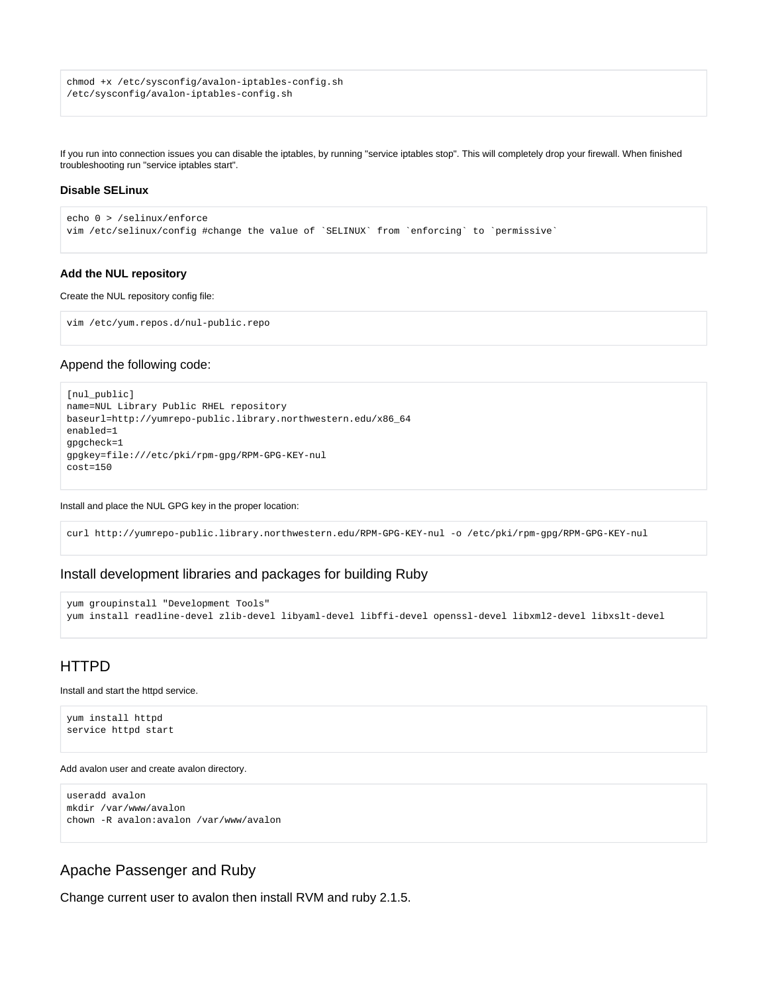```
chmod +x /etc/sysconfig/avalon-iptables-config.sh
/etc/sysconfig/avalon-iptables-config.sh
```
If you run into connection issues you can disable the iptables, by running "service iptables stop". This will completely drop your firewall. When finished troubleshooting run "service iptables start".

# **Disable SELinux**

◡

```
echo 0 > /selinux/enforce 
vim /etc/selinux/config #change the value of `SELINUX` from `enforcing` to `permissive`
```
#### **Add the NUL repository**

Create the NUL repository config file:

```
vim /etc/yum.repos.d/nul-public.repo
```
# Append the following code:

```
[nul_public]
name=NUL Library Public RHEL repository
baseurl=http://yumrepo-public.library.northwestern.edu/x86_64
enabled=1
gpgcheck=1
gpgkey=file:///etc/pki/rpm-gpg/RPM-GPG-KEY-nul
cost=150
```
Install and place the NUL GPG key in the proper location:

curl http://yumrepo-public.library.northwestern.edu/RPM-GPG-KEY-nul -o /etc/pki/rpm-gpg/RPM-GPG-KEY-nul

# Install development libraries and packages for building Ruby

```
yum groupinstall "Development Tools"
yum install readline-devel zlib-devel libyaml-devel libffi-devel openssl-devel libxml2-devel libxslt-devel
```
# <span id="page-1-0"></span>HTTPD

Install and start the httpd service.

yum install httpd service httpd start

#### Add avalon user and create avalon directory.

```
useradd avalon
mkdir /var/www/avalon
chown -R avalon:avalon /var/www/avalon
```
# <span id="page-1-1"></span>Apache Passenger and Ruby

Change current user to avalon then install RVM and ruby 2.1.5.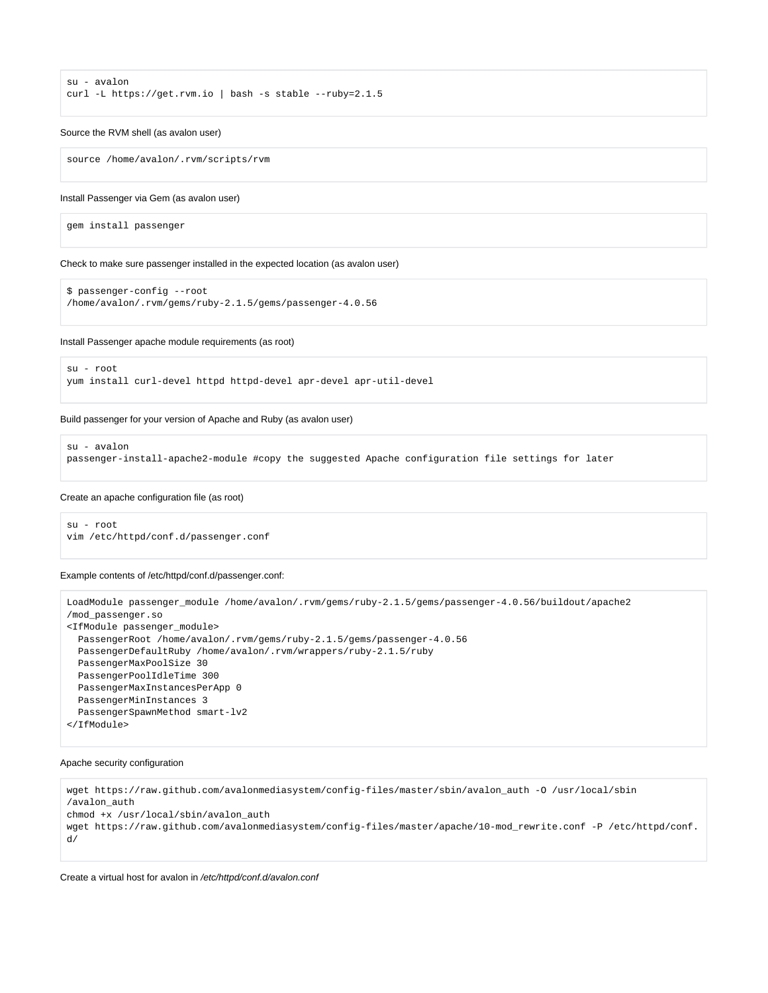```
su - avalon
curl -L https://get.rvm.io | bash -s stable --ruby=2.1.5
```
#### Source the RVM shell (as avalon user)

source /home/avalon/.rvm/scripts/rvm

#### Install Passenger via Gem (as avalon user)

gem install passenger

Check to make sure passenger installed in the expected location (as avalon user)

```
$ passenger-config --root
/home/avalon/.rvm/gems/ruby-2.1.5/gems/passenger-4.0.56
```
Install Passenger apache module requirements (as root)

```
su - root
yum install curl-devel httpd httpd-devel apr-devel apr-util-devel
```
#### Build passenger for your version of Apache and Ruby (as avalon user)

```
su - avalon
passenger-install-apache2-module #copy the suggested Apache configuration file settings for later
```
#### Create an apache configuration file (as root)

```
su - root
vim /etc/httpd/conf.d/passenger.conf
```
Example contents of /etc/httpd/conf.d/passenger.conf:

```
LoadModule passenger_module /home/avalon/.rvm/gems/ruby-2.1.5/gems/passenger-4.0.56/buildout/apache2
/mod_passenger.so
<IfModule passenger_module>
  PassengerRoot /home/avalon/.rvm/gems/ruby-2.1.5/gems/passenger-4.0.56
  PassengerDefaultRuby /home/avalon/.rvm/wrappers/ruby-2.1.5/ruby
  PassengerMaxPoolSize 30
  PassengerPoolIdleTime 300
  PassengerMaxInstancesPerApp 0
  PassengerMinInstances 3
  PassengerSpawnMethod smart-lv2
</IfModule>
```
#### Apache security configuration

```
wget https://raw.github.com/avalonmediasystem/config-files/master/sbin/avalon_auth -O /usr/local/sbin
/avalon_auth
chmod +x /usr/local/sbin/avalon_auth
wget https://raw.github.com/avalonmediasystem/config-files/master/apache/10-mod_rewrite.conf -P /etc/httpd/conf.
d/
```
Create a virtual host for avalon in /etc/httpd/conf.d/avalon.conf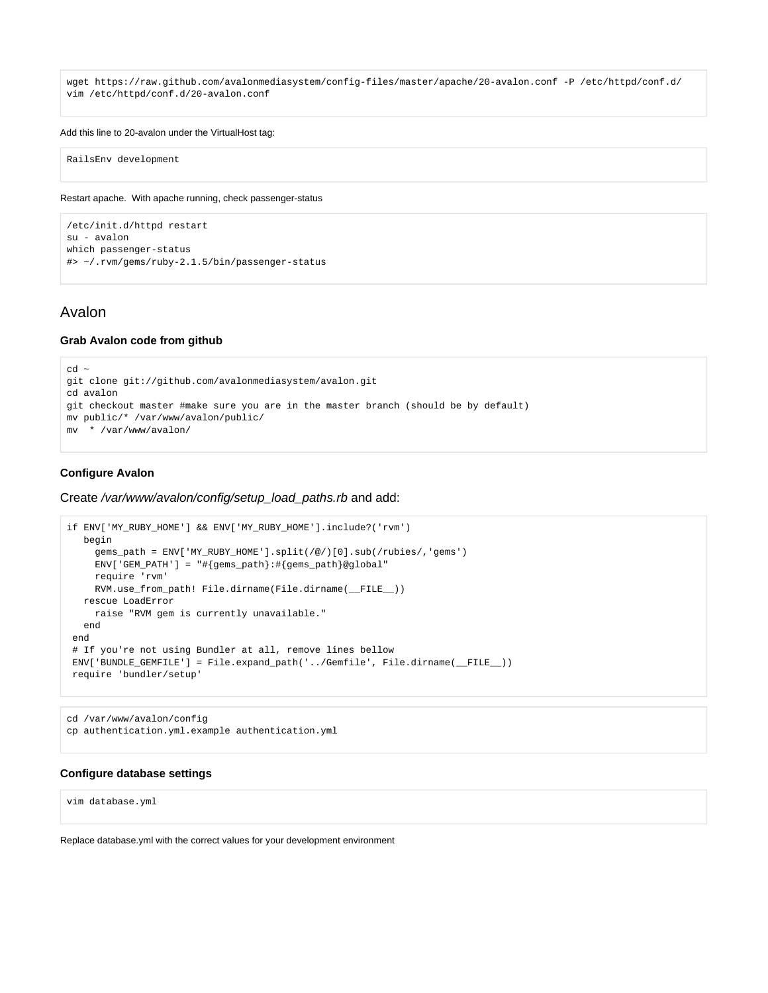wget https://raw.github.com/avalonmediasystem/config-files/master/apache/20-avalon.conf -P /etc/httpd/conf.d/ vim /etc/httpd/conf.d/20-avalon.conf

#### Add this line to 20-avalon under the VirtualHost tag:

RailsEnv development

Restart apache. With apache running, check passenger-status

```
/etc/init.d/httpd restart
su - avalon
which passenger-status
#> ~/.rvm/gems/ruby-2.1.5/bin/passenger-status
```
# <span id="page-3-0"></span>Avalon

#### **Grab Avalon code from github**

```
cd \simgit clone git://github.com/avalonmediasystem/avalon.git
cd avalon
git checkout master #make sure you are in the master branch (should be by default)
mv public/* /var/www/avalon/public/
mv * /var/www/avalon/
```
### **Configure Avalon**

Create /var/www/avalon/config/setup\_load\_paths.rb and add:

```
if ENV['MY_RUBY_HOME'] && ENV['MY_RUBY_HOME'].include?('rvm')
   begin
     gems_path = ENV['MY_RUBY_HOME'].split(/@/)[0].sub(/rubies/,'gems')
     ENV['GEM_PATH'] = "#{gems_path}:#{gems_path}@global"
     require 'rvm'
     RVM.use_from_path! File.dirname(File.dirname(__FILE__))
   rescue LoadError
     raise "RVM gem is currently unavailable."
   end
 end
 # If you're not using Bundler at all, remove lines bellow
 ENV['BUNDLE_GEMFILE'] = File.expand_path('../Gemfile', File.dirname(__FILE__))
 require 'bundler/setup'
```
cd /var/www/avalon/config cp authentication.yml.example authentication.yml

# **Configure database settings**

vim database.yml

Replace database.yml with the correct values for your development environment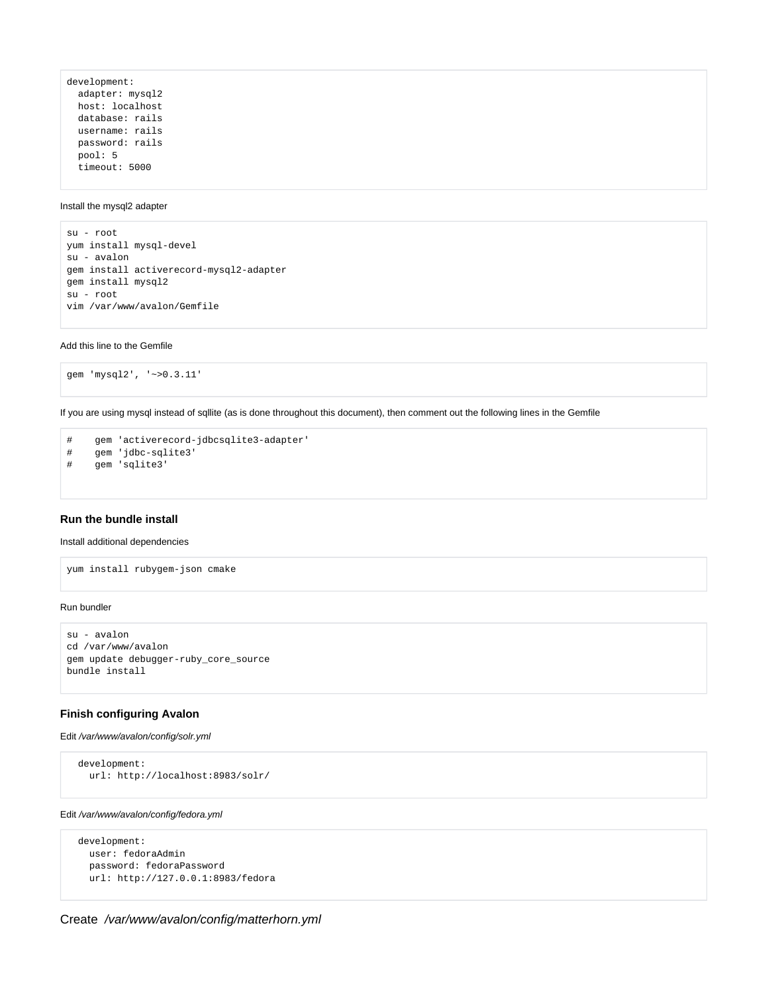```
development:
  adapter: mysql2
  host: localhost
  database: rails
  username: rails
  password: rails
  pool: 5
  timeout: 5000
```
# Install the mysql2 adapter

su - root yum install mysql-devel su - avalon gem install activerecord-mysql2-adapter gem install mysql2 su - root vim /var/www/avalon/Gemfile

Add this line to the Gemfile

gem 'mysql2', '~>0.3.11'

If you are using mysql instead of sqllite (as is done throughout this document), then comment out the following lines in the Gemfile

```
# gem 'activerecord-jdbcsqlite3-adapter'
# gem 'jdbc-sqlite3'
# gem 'sqlite3'
```
#### **Run the bundle install**

# Install additional dependencies

yum install rubygem-json cmake

#### Run bundler

```
su - avalon
cd /var/www/avalon
gem update debugger-ruby_core_source
bundle install
```
# **Finish configuring Avalon**

# Edit /var/www/avalon/config/solr.yml

```
 development:
  url: http://localhost:8983/solr/
```
### Edit /var/www/avalon/config/fedora.yml

```
 development:
  user: fedoraAdmin
  password: fedoraPassword
  url: http://127.0.0.1:8983/fedora
```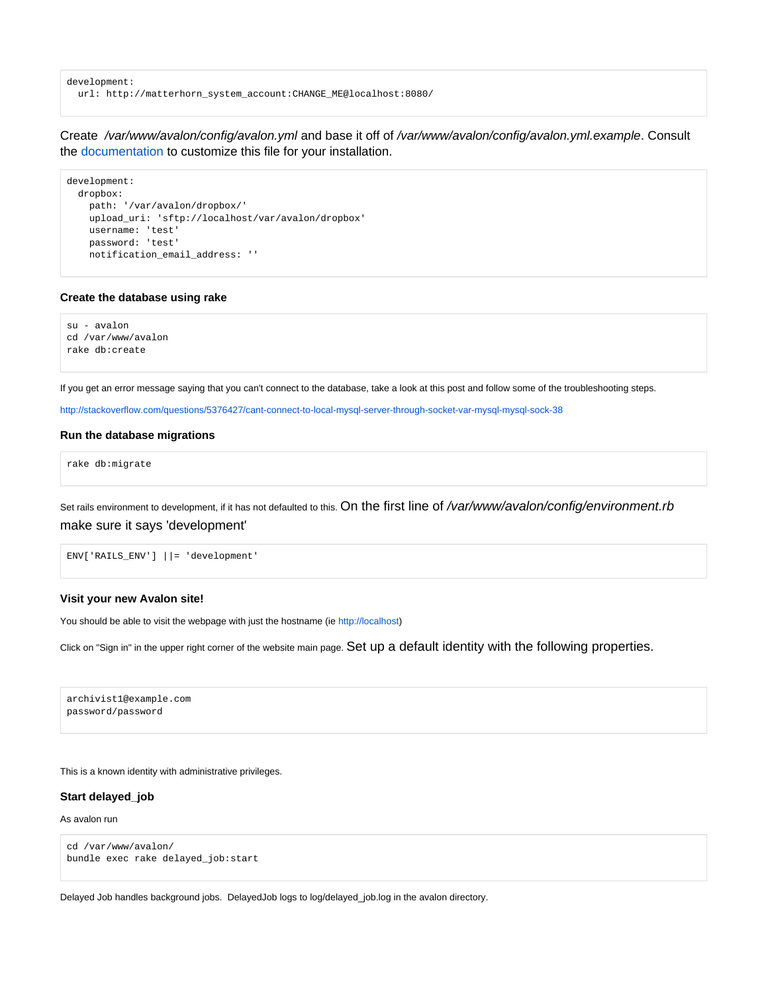development: url: http://matterhorn\_system\_account:CHANGE\_ME@localhost:8080/

Create /var/www/avalon/config/avalon.yml and base it off of /var/www/avalon/config/avalon.yml.example. Consult the [documentation](https://wiki.dlib.indiana.edu/display/VarVideo/Configuration+Files) to customize this file for your installation.

```
development:
  dropbox:
    path: '/var/avalon/dropbox/'
     upload_uri: 'sftp://localhost/var/avalon/dropbox'
    username: 'test'
    password: 'test'
    notification_email_address: ''
```
# **Create the database using rake**

su - avalon cd /var/www/avalon rake db:create

If you get an error message saying that you can't connect to the database, take a look at this post and follow some of the troubleshooting steps.

<http://stackoverflow.com/questions/5376427/cant-connect-to-local-mysql-server-through-socket-var-mysql-mysql-sock-38>

# **Run the database migrations**

rake db:migrate

Set rails environment to development, if it has not defaulted to this. On the first line of /var/www/avalon/config/environment.rb make sure it says 'development'

ENV['RAILS\_ENV'] ||= 'development'

### **Visit your new Avalon site!**

You should be able to visit the webpage with just the hostname (ie <http://localhost>)

Click on "Sign in" in the upper right corner of the website main page. Set up a default identity with the following properties.

archivist1@example.com password/password

This is a known identity with administrative privileges.

#### **Start delayed\_job**

As avalon run

```
cd /var/www/avalon/
bundle exec rake delayed_job:start
```
<span id="page-5-0"></span>Delayed Job handles background jobs. DelayedJob logs to log/delayed\_job.log in the avalon directory.